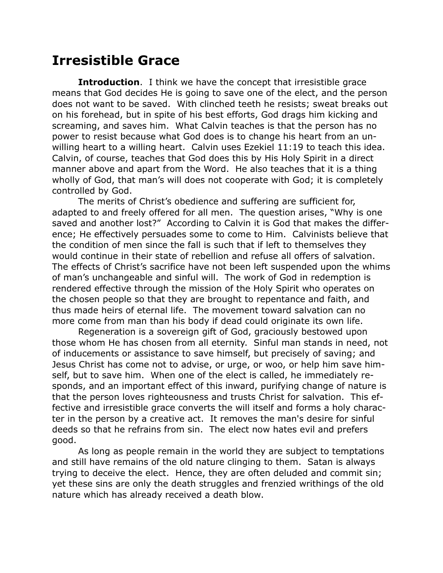## **Irresistible Grace**

**Introduction**. I think we have the concept that irresistible grace means that God decides He is going to save one of the elect, and the person does not want to be saved. With clinched teeth he resists; sweat breaks out on his forehead, but in spite of his best efforts, God drags him kicking and screaming, and saves him. What Calvin teaches is that the person has no power to resist because what God does is to change his heart from an unwilling heart to a willing heart. Calvin uses Ezekiel 11:19 to teach this idea. Calvin, of course, teaches that God does this by His Holy Spirit in a direct manner above and apart from the Word. He also teaches that it is a thing wholly of God, that man's will does not cooperate with God; it is completely controlled by God.

The merits of Christ's obedience and suffering are sufficient for, adapted to and freely offered for all men. The question arises, "Why is one saved and another lost?" According to Calvin it is God that makes the difference; He effectively persuades some to come to Him. Calvinists believe that the condition of men since the fall is such that if left to themselves they would continue in their state of rebellion and refuse all offers of salvation. The effects of Christ's sacrifice have not been left suspended upon the whims of man's unchangeable and sinful will. The work of God in redemption is rendered effective through the mission of the Holy Spirit who operates on the chosen people so that they are brought to repentance and faith, and thus made heirs of eternal life. The movement toward salvation can no more come from man than his body if dead could originate its own life.

Regeneration is a sovereign gift of God, graciously bestowed upon those whom He has chosen from all eternity. Sinful man stands in need, not of inducements or assistance to save himself, but precisely of saving; and Jesus Christ has come not to advise, or urge, or woo, or help him save himself, but to save him. When one of the elect is called, he immediately responds, and an important effect of this inward, purifying change of nature is that the person loves righteousness and trusts Christ for salvation. This effective and irresistible grace converts the will itself and forms a holy character in the person by a creative act. It removes the man's desire for sinful deeds so that he refrains from sin. The elect now hates evil and prefers good.

As long as people remain in the world they are subject to temptations and still have remains of the old nature clinging to them. Satan is always trying to deceive the elect. Hence, they are often deluded and commit sin; yet these sins are only the death struggles and frenzied writhings of the old nature which has already received a death blow.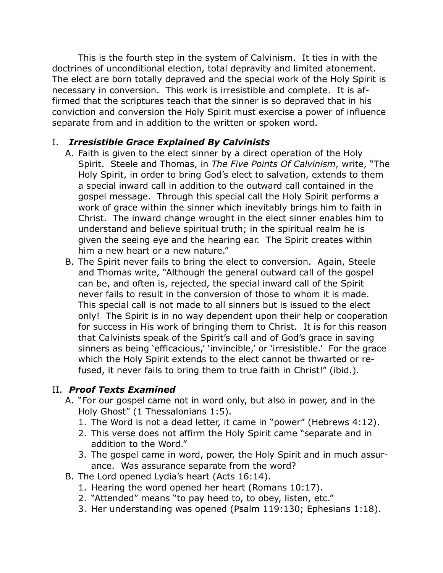This is the fourth step in the system of Calvinism. It ties in with the doctrines of unconditional election, total depravity and limited atonement. The elect are born totally depraved and the special work of the Holy Spirit is necessary in conversion. This work is irresistible and complete. It is affirmed that the scriptures teach that the sinner is so depraved that in his conviction and conversion the Holy Spirit must exercise a power of influence separate from and in addition to the written or spoken word.

## I. *Irresistible Grace Explained By Calvinists*

- A. Faith is given to the elect sinner by a direct operation of the Holy Spirit. Steele and Thomas, in *The Five Points Of Calvinism*, write, "The Holy Spirit, in order to bring God's elect to salvation, extends to them a special inward call in addition to the outward call contained in the gospel message. Through this special call the Holy Spirit performs a work of grace within the sinner which inevitably brings him to faith in Christ. The inward change wrought in the elect sinner enables him to understand and believe spiritual truth; in the spiritual realm he is given the seeing eye and the hearing ear. The Spirit creates within him a new heart or a new nature."
- B. The Spirit never fails to bring the elect to conversion. Again, Steele and Thomas write, "Although the general outward call of the gospel can be, and often is, rejected, the special inward call of the Spirit never fails to result in the conversion of those to whom it is made. This special call is not made to all sinners but is issued to the elect only! The Spirit is in no way dependent upon their help or cooperation for success in His work of bringing them to Christ. It is for this reason that Calvinists speak of the Spirit's call and of God's grace in saving sinners as being 'efficacious,' 'invincible,' or 'irresistible.' For the grace which the Holy Spirit extends to the elect cannot be thwarted or refused, it never fails to bring them to true faith in Christ!" (ibid.).

## II. *Proof Texts Examined*

- A. "For our gospel came not in word only, but also in power, and in the Holy Ghost" (1 Thessalonians 1:5).
	- 1. The Word is not a dead letter, it came in "power" (Hebrews 4:12).
	- 2. This verse does not affirm the Holy Spirit came "separate and in addition to the Word."
	- 3. The gospel came in word, power, the Holy Spirit and in much assurance. Was assurance separate from the word?
- B. The Lord opened Lydia's heart (Acts 16:14).
	- 1. Hearing the word opened her heart (Romans 10:17).
	- 2. "Attended" means "to pay heed to, to obey, listen, etc."
	- 3. Her understanding was opened (Psalm 119:130; Ephesians 1:18).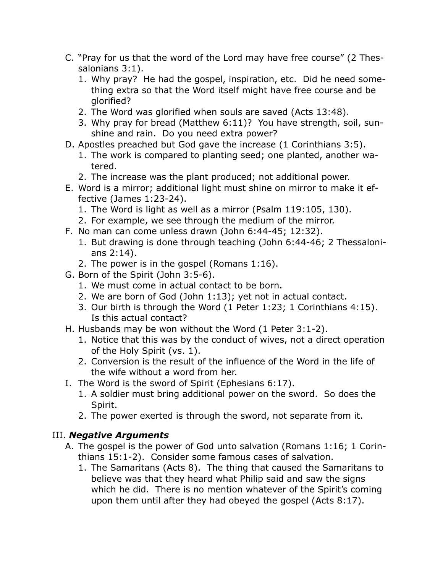- C. "Pray for us that the word of the Lord may have free course" (2 Thessalonians 3:1).
	- 1. Why pray? He had the gospel, inspiration, etc. Did he need something extra so that the Word itself might have free course and be glorified?
	- 2. The Word was glorified when souls are saved (Acts 13:48).
	- 3. Why pray for bread (Matthew 6:11)? You have strength, soil, sunshine and rain. Do you need extra power?
- D. Apostles preached but God gave the increase (1 Corinthians 3:5).
	- 1. The work is compared to planting seed; one planted, another watered.
	- 2. The increase was the plant produced; not additional power.
- E. Word is a mirror; additional light must shine on mirror to make it effective (James 1:23-24).
	- 1. The Word is light as well as a mirror (Psalm 119:105, 130).
	- 2. For example, we see through the medium of the mirror.
- F. No man can come unless drawn (John 6:44-45; 12:32).
	- 1. But drawing is done through teaching (John 6:44-46; 2 Thessalonians 2:14).
	- 2. The power is in the gospel (Romans 1:16).
- G. Born of the Spirit (John 3:5-6).
	- 1. We must come in actual contact to be born.
	- 2. We are born of God (John 1:13); yet not in actual contact.
	- 3. Our birth is through the Word (1 Peter 1:23; 1 Corinthians 4:15). Is this actual contact?
- H. Husbands may be won without the Word (1 Peter 3:1-2).
	- 1. Notice that this was by the conduct of wives, not a direct operation of the Holy Spirit (vs. 1).
	- 2. Conversion is the result of the influence of the Word in the life of the wife without a word from her.
- I. The Word is the sword of Spirit (Ephesians 6:17).
	- 1. A soldier must bring additional power on the sword. So does the Spirit.
	- 2. The power exerted is through the sword, not separate from it.

## III. *Negative Arguments*

- A. The gospel is the power of God unto salvation (Romans 1:16; 1 Corinthians 15:1-2). Consider some famous cases of salvation.
	- 1. The Samaritans (Acts 8). The thing that caused the Samaritans to believe was that they heard what Philip said and saw the signs which he did. There is no mention whatever of the Spirit's coming upon them until after they had obeyed the gospel (Acts 8:17).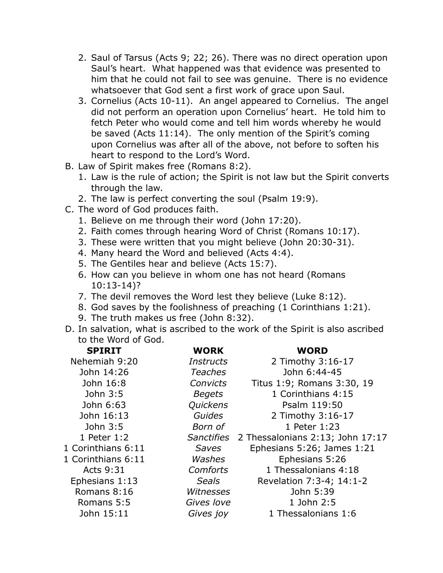- 2. Saul of Tarsus (Acts 9; 22; 26). There was no direct operation upon Saul's heart. What happened was that evidence was presented to him that he could not fail to see was genuine. There is no evidence whatsoever that God sent a first work of grace upon Saul.
- 3. Cornelius (Acts 10-11). An angel appeared to Cornelius. The angel did not perform an operation upon Cornelius' heart. He told him to fetch Peter who would come and tell him words whereby he would be saved (Acts 11:14). The only mention of the Spirit's coming upon Cornelius was after all of the above, not before to soften his heart to respond to the Lord's Word.
- B. Law of Spirit makes free (Romans 8:2).
	- 1. Law is the rule of action; the Spirit is not law but the Spirit converts through the law.
	- 2. The law is perfect converting the soul (Psalm 19:9).
- C. The word of God produces faith.
	- 1. Believe on me through their word (John 17:20).
	- 2. Faith comes through hearing Word of Christ (Romans 10:17).
	- 3. These were written that you might believe (John 20:30-31).
	- 4. Many heard the Word and believed (Acts 4:4).
	- 5. The Gentiles hear and believe (Acts 15:7).
	- 6. How can you believe in whom one has not heard (Romans 10:13-14)?
	- 7. The devil removes the Word lest they believe (Luke 8:12).
	- 8. God saves by the foolishness of preaching (1 Corinthians 1:21).
	- 9. The truth makes us free (John 8:32).
- D. In salvation, what is ascribed to the work of the Spirit is also ascribed to the Word of God.

| <b>SPIRIT</b>      | <b>WORK</b>       | <b>WORD</b>                      |
|--------------------|-------------------|----------------------------------|
| Nehemiah 9:20      | <i>Instructs</i>  | 2 Timothy 3:16-17                |
| John 14:26         | <b>Teaches</b>    | John 6:44-45                     |
| John 16:8          | <b>Convicts</b>   | Titus 1:9; Romans 3:30, 19       |
| John 3:5           | <b>Begets</b>     | 1 Corinthians 4:15               |
| John 6:63          | Quickens          | Psalm 119:50                     |
| John 16:13         | Guides            | 2 Timothy 3:16-17                |
| John 3:5           | Born of           | 1 Peter 1:23                     |
| 1 Peter 1:2        | <b>Sanctifies</b> | 2 Thessalonians 2:13; John 17:17 |
| 1 Corinthians 6:11 | Saves             | Ephesians 5:26; James 1:21       |
| 1 Corinthians 6:11 | Washes            | Ephesians 5:26                   |
| <b>Acts 9:31</b>   | <b>Comforts</b>   | 1 Thessalonians 4:18             |
| Ephesians 1:13     | <b>Seals</b>      | Revelation 7:3-4; 14:1-2         |
| Romans 8:16        | Witnesses         | John 5:39                        |
| Romans 5:5         | Gives love        | 1 John 2:5                       |
| John 15:11         | Gives joy         | 1 Thessalonians 1:6              |
|                    |                   |                                  |